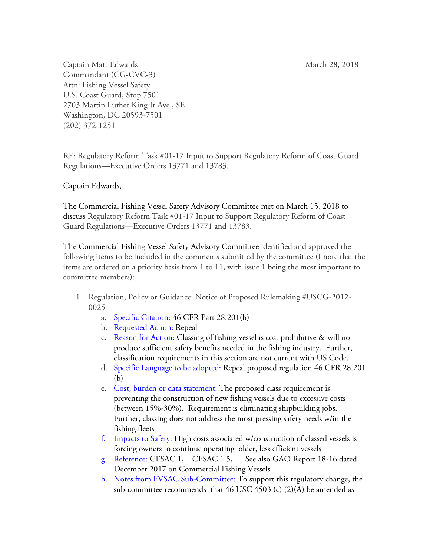Captain Matt Edwards Matt Edwards Match 28, 2018 Commandant (CG-CVC-3) Attn: Fishing Vessel Safety U.S. Coast Guard, Stop 7501 2703 Martin Luther King Jr Ave., SE Washington, DC 20593-7501 (202) 372-1251

RE: Regulatory Reform Task #01-17 Input to Support Regulatory Reform of Coast Guard Regulations—Executive Orders 13771 and 13783.

Captain Edwards,

The Commercial Fishing Vessel Safety Advisory Committee met on March 15, 2018 to discuss Regulatory Reform Task #01-17 Input to Support Regulatory Reform of Coast Guard Regulations—Executive Orders 13771 and 13783.

The Commercial Fishing Vessel Safety Advisory Committee identified and approved the following items to be included in the comments submitted by the committee (I note that the items are ordered on a priority basis from 1 to 11, with issue 1 being the most important to committee members):

- 1. Regulation, Policy or Guidance: Notice of Proposed Rulemaking #USCG-2012- 0025
	- a. Specific Citation: 46 CFR Part 28.201(b)
	- b. Requested Action: Repeal
	- c. Reason for Action: Classing of fishing vessel is cost prohibitive & will not produce sufficient safety benefits needed in the fishing industry. Further, classification requirements in this section are not current with US Code.
	- d. Specific Language to be adopted: Repeal proposed regulation 46 CFR 28.201 (b)
	- e. Cost, burden or data statement: The proposed class requirement is preventing the construction of new fishing vessels due to excessive costs (between 15%-30%). Requirement is eliminating shipbuilding jobs. Further, classing does not address the most pressing safety needs w/in the fishing fleets
	- f. Impacts to Safety: High costs associated w/construction of classed vessels is forcing owners to continue operating older, less efficient vessels
	- g. Reference: CFSAC 1, CFSAC 1.5, See also GAO Report 18-16 dated December 2017 on Commercial Fishing Vessels
	- h. Notes from FVSAC Sub-Committee: To support this regulatory change, the sub-committee recommends that 46 USC 4503 (c) (2)(A) be amended as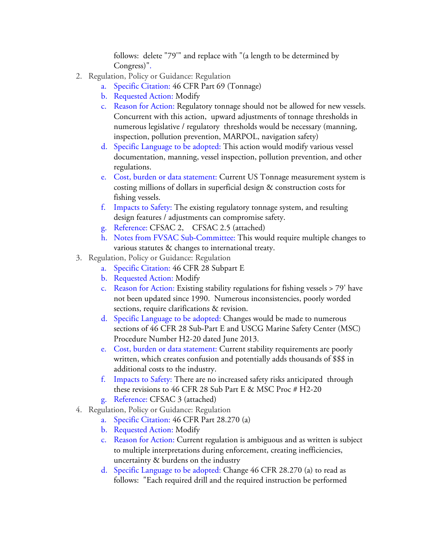follows: delete "79'" and replace with "(a length to be determined by Congress)".

- 2. Regulation, Policy or Guidance: Regulation
	- a. Specific Citation: 46 CFR Part 69 (Tonnage)
	- b. Requested Action: Modify
	- c. Reason for Action: Regulatory tonnage should not be allowed for new vessels. Concurrent with this action, upward adjustments of tonnage thresholds in numerous legislative / regulatory thresholds would be necessary (manning, inspection, pollution prevention, MARPOL, navigation safety)
	- d. Specific Language to be adopted: This action would modify various vessel documentation, manning, vessel inspection, pollution prevention, and other regulations.
	- e. Cost, burden or data statement: Current US Tonnage measurement system is costing millions of dollars in superficial design & construction costs for fishing vessels.
	- f. Impacts to Safety: The existing regulatory tonnage system, and resulting design features / adjustments can compromise safety.
	- g. Reference: CFSAC 2, CFSAC 2.5 (attached)
	- h. Notes from FVSAC Sub-Committee: This would require multiple changes to various statutes & changes to international treaty.
- 3. Regulation, Policy or Guidance: Regulation
	- a. Specific Citation: 46 CFR 28 Subpart E
	- b. Requested Action: Modify
	- c. Reason for Action: Existing stability regulations for fishing vessels > 79' have not been updated since 1990. Numerous inconsistencies, poorly worded sections, require clarifications & revision.
	- d. Specific Language to be adopted: Changes would be made to numerous sections of 46 CFR 28 Sub-Part E and USCG Marine Safety Center (MSC) Procedure Number H2-20 dated June 2013.
	- e. Cost, burden or data statement: Current stability requirements are poorly written, which creates confusion and potentially adds thousands of \$\$\$ in additional costs to the industry.
	- f. Impacts to Safety: There are no increased safety risks anticipated through these revisions to 46 CFR 28 Sub Part E & MSC Proc # H2-20
	- g. Reference: CFSAC 3 (attached)
- 4. Regulation, Policy or Guidance: Regulation
	- a. Specific Citation: 46 CFR Part 28.270 (a)
	- b. Requested Action: Modify
	- c. Reason for Action: Current regulation is ambiguous and as written is subject to multiple interpretations during enforcement, creating inefficiencies, uncertainty & burdens on the industry
	- d. Specific Language to be adopted: Change 46 CFR 28.270 (a) to read as follows: "Each required drill and the required instruction be performed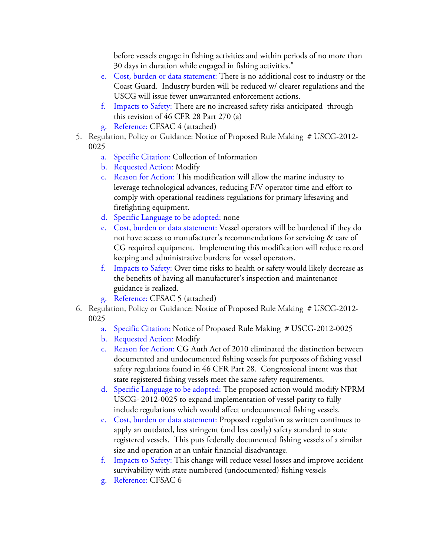before vessels engage in fishing activities and within periods of no more than 30 days in duration while engaged in fishing activities."

- e. Cost, burden or data statement: There is no additional cost to industry or the Coast Guard. Industry burden will be reduced w/ clearer regulations and the USCG will issue fewer unwarranted enforcement actions.
- f. Impacts to Safety: There are no increased safety risks anticipated through this revision of 46 CFR 28 Part 270 (a)
- g. Reference: CFSAC 4 (attached)
- 5. Regulation, Policy or Guidance: Notice of Proposed Rule Making # USCG-2012-
	- 0025
		- a. Specific Citation: Collection of Information
		- b. Requested Action: Modify
		- c. Reason for Action: This modification will allow the marine industry to leverage technological advances, reducing F/V operator time and effort to comply with operational readiness regulations for primary lifesaving and firefighting equipment.
		- d. Specific Language to be adopted: none
		- e. Cost, burden or data statement: Vessel operators will be burdened if they do not have access to manufacturer's recommendations for servicing & care of CG required equipment. Implementing this modification will reduce record keeping and administrative burdens for vessel operators.
		- f. Impacts to Safety: Over time risks to health or safety would likely decrease as the benefits of having all manufacturer's inspection and maintenance guidance is realized.
		- g. Reference: CFSAC 5 (attached)
- 6. Regulation, Policy or Guidance: Notice of Proposed Rule Making # USCG-2012- 0025
	- a. Specific Citation: Notice of Proposed Rule Making # USCG-2012-0025
	- b. Requested Action: Modify
	- c. Reason for Action: CG Auth Act of 2010 eliminated the distinction between documented and undocumented fishing vessels for purposes of fishing vessel safety regulations found in 46 CFR Part 28. Congressional intent was that state registered fishing vessels meet the same safety requirements.
	- d. Specific Language to be adopted: The proposed action would modify NPRM USCG- 2012-0025 to expand implementation of vessel parity to fully include regulations which would affect undocumented fishing vessels.
	- e. Cost, burden or data statement: Proposed regulation as written continues to apply an outdated, less stringent (and less costly) safety standard to state registered vessels. This puts federally documented fishing vessels of a similar size and operation at an unfair financial disadvantage.
	- f. Impacts to Safety: This change will reduce vessel losses and improve accident survivability with state numbered (undocumented) fishing vessels
	- g. Reference: CFSAC 6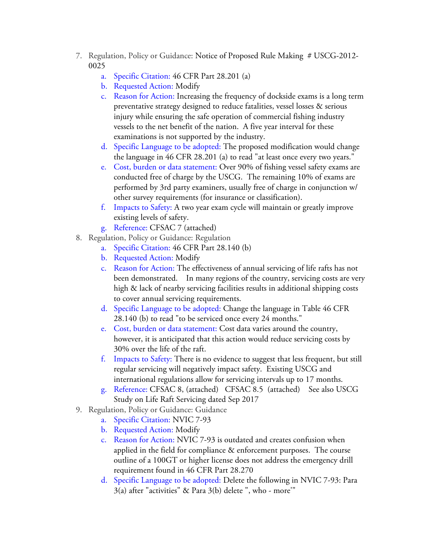- 7. Regulation, Policy or Guidance: Notice of Proposed Rule Making # USCG-2012- 0025
	- a. Specific Citation: 46 CFR Part 28.201 (a)
	- b. Requested Action: Modify
	- c. Reason for Action: Increasing the frequency of dockside exams is a long term preventative strategy designed to reduce fatalities, vessel losses & serious injury while ensuring the safe operation of commercial fishing industry vessels to the net benefit of the nation. A five year interval for these examinations is not supported by the industry.
	- d. Specific Language to be adopted: The proposed modification would change the language in 46 CFR 28.201 (a) to read "at least once every two years."
	- e. Cost, burden or data statement: Over 90% of fishing vessel safety exams are conducted free of charge by the USCG. The remaining 10% of exams are performed by 3rd party examiners, usually free of charge in conjunction w/ other survey requirements (for insurance or classification).
	- f. Impacts to Safety: A two year exam cycle will maintain or greatly improve existing levels of safety.
	- g. Reference: CFSAC 7 (attached)
- 8. Regulation, Policy or Guidance: Regulation
	- a. Specific Citation: 46 CFR Part 28.140 (b)
	- b. Requested Action: Modify
	- c. Reason for Action: The effectiveness of annual servicing of life rafts has not been demonstrated. In many regions of the country, servicing costs are very high & lack of nearby servicing facilities results in additional shipping costs to cover annual servicing requirements.
	- d. Specific Language to be adopted: Change the language in Table 46 CFR 28.140 (b) to read "to be serviced once every 24 months."
	- e. Cost, burden or data statement: Cost data varies around the country, however, it is anticipated that this action would reduce servicing costs by 30% over the life of the raft.
	- f. Impacts to Safety: There is no evidence to suggest that less frequent, but still regular servicing will negatively impact safety. Existing USCG and international regulations allow for servicing intervals up to 17 months.
	- g. Reference: CFSAC 8, (attached) CFSAC 8.5 (attached) See also USCG Study on Life Raft Servicing dated Sep 2017
- 9. Regulation, Policy or Guidance: Guidance
	- a. Specific Citation: NVIC 7-93
	- b. Requested Action: Modify
	- c. Reason for Action: NVIC 7-93 is outdated and creates confusion when applied in the field for compliance & enforcement purposes. The course outline of a 100GT or higher license does not address the emergency drill requirement found in 46 CFR Part 28.270
	- d. Specific Language to be adopted: Delete the following in NVIC 7-93: Para 3(a) after "activities" & Para 3(b) delete ", who - more'"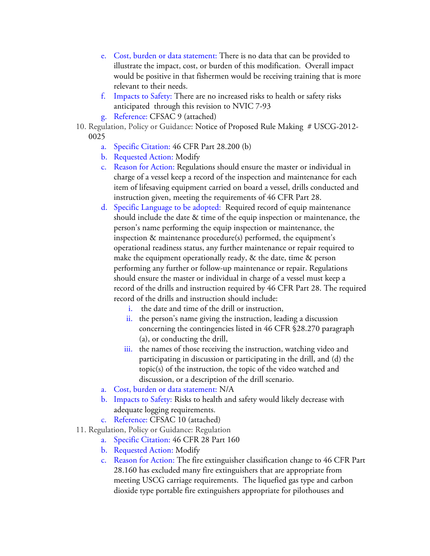- e. Cost, burden or data statement: There is no data that can be provided to illustrate the impact, cost, or burden of this modification. Overall impact would be positive in that fishermen would be receiving training that is more relevant to their needs.
- f. Impacts to Safety: There are no increased risks to health or safety risks anticipated through this revision to NVIC 7-93
- g. Reference: CFSAC 9 (attached)
- 10. Regulation, Policy or Guidance: Notice of Proposed Rule Making # USCG-2012- 0025
	- a. Specific Citation: 46 CFR Part 28.200 (b)
	- b. Requested Action: Modify
	- c. Reason for Action: Regulations should ensure the master or individual in charge of a vessel keep a record of the inspection and maintenance for each item of lifesaving equipment carried on board a vessel, drills conducted and instruction given, meeting the requirements of 46 CFR Part 28.
	- d. Specific Language to be adopted: Required record of equip maintenance should include the date & time of the equip inspection or maintenance, the person's name performing the equip inspection or maintenance, the inspection & maintenance procedure(s) performed, the equipment's operational readiness status, any further maintenance or repair required to make the equipment operationally ready, & the date, time & person performing any further or follow-up maintenance or repair. Regulations should ensure the master or individual in charge of a vessel must keep a record of the drills and instruction required by 46 CFR Part 28. The required record of the drills and instruction should include:
		- i. the date and time of the drill or instruction,
		- ii. the person's name giving the instruction, leading a discussion concerning the contingencies listed in 46 CFR §28.270 paragraph (a), or conducting the drill,
		- iii. the names of those receiving the instruction, watching video and participating in discussion or participating in the drill, and (d) the topic(s) of the instruction, the topic of the video watched and discussion, or a description of the drill scenario.
	- a. Cost, burden or data statement: N/A
	- b. Impacts to Safety: Risks to health and safety would likely decrease with adequate logging requirements.
	- c. Reference: CFSAC 10 (attached)
- 11. Regulation, Policy or Guidance: Regulation
	- a. Specific Citation: 46 CFR 28 Part 160
	- b. Requested Action: Modify
	- c. Reason for Action: The fire extinguisher classification change to 46 CFR Part 28.160 has excluded many fire extinguishers that are appropriate from meeting USCG carriage requirements. The liquefied gas type and carbon dioxide type portable fire extinguishers appropriate for pilothouses and